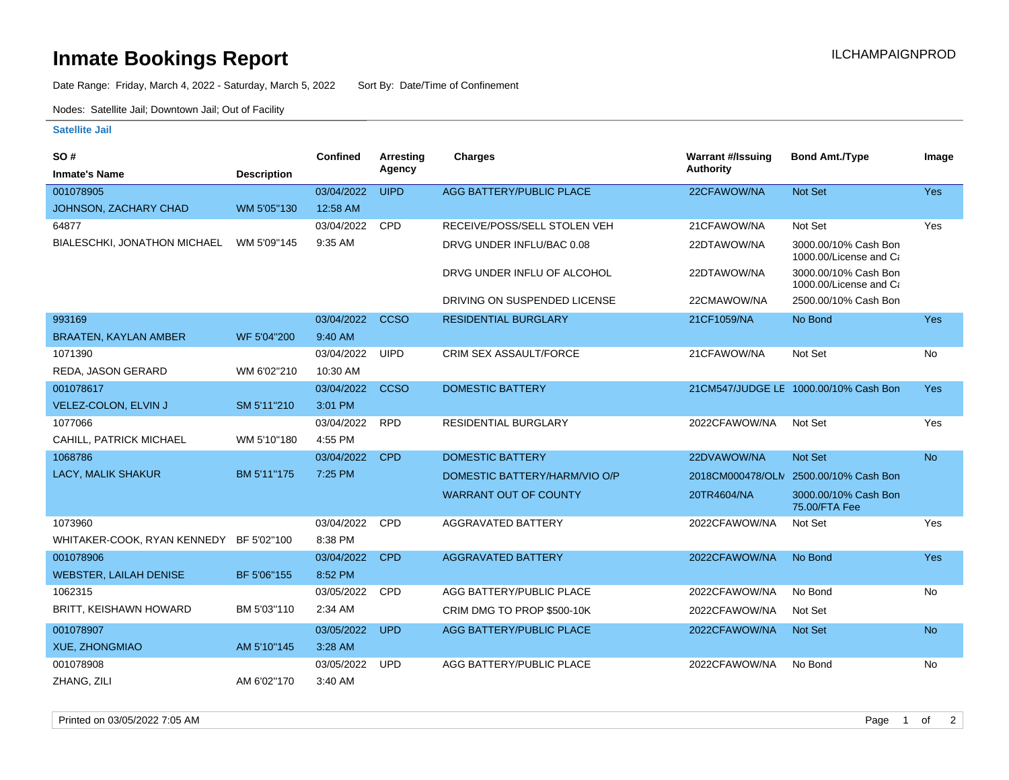## **Inmate Bookings Report International Contract Contract Contract Contract Contract Contract Contract Contract Contract Contract Contract Contract Contract Contract Contract Contract Contract Contract Contract Contract Co**

Date Range: Friday, March 4, 2022 - Saturday, March 5, 2022 Sort By: Date/Time of Confinement

Nodes: Satellite Jail; Downtown Jail; Out of Facility

## **Satellite Jail**

| <b>SO#</b>                    |                    | <b>Confined</b> | Arresting   | Charges                         | <b>Warrant #/Issuing</b> | <b>Bond Amt./Type</b>                          | Image      |
|-------------------------------|--------------------|-----------------|-------------|---------------------------------|--------------------------|------------------------------------------------|------------|
| <b>Inmate's Name</b>          | <b>Description</b> |                 | Agency      |                                 | <b>Authority</b>         |                                                |            |
| 001078905                     |                    | 03/04/2022      | <b>UIPD</b> | <b>AGG BATTERY/PUBLIC PLACE</b> | 22CFAWOW/NA              | <b>Not Set</b>                                 | <b>Yes</b> |
| JOHNSON, ZACHARY CHAD         | WM 5'05"130        | 12:58 AM        |             |                                 |                          |                                                |            |
| 64877                         |                    | 03/04/2022      | <b>CPD</b>  | RECEIVE/POSS/SELL STOLEN VEH    | 21CFAWOW/NA              | Not Set                                        | Yes        |
| BIALESCHKI, JONATHON MICHAEL  | WM 5'09"145        | 9:35 AM         |             | DRVG UNDER INFLU/BAC 0.08       | 22DTAWOW/NA              | 3000.00/10% Cash Bon<br>1000.00/License and Ca |            |
|                               |                    |                 |             | DRVG UNDER INFLU OF ALCOHOL     | 22DTAWOW/NA              | 3000.00/10% Cash Bon<br>1000.00/License and Ca |            |
|                               |                    |                 |             | DRIVING ON SUSPENDED LICENSE    | 22CMAWOW/NA              | 2500.00/10% Cash Bon                           |            |
| 993169                        |                    | 03/04/2022      | <b>CCSO</b> | <b>RESIDENTIAL BURGLARY</b>     | 21CF1059/NA              | No Bond                                        | <b>Yes</b> |
| <b>BRAATEN, KAYLAN AMBER</b>  | WF 5'04"200        | 9:40 AM         |             |                                 |                          |                                                |            |
| 1071390                       |                    | 03/04/2022      | <b>UIPD</b> | CRIM SEX ASSAULT/FORCE          | 21CFAWOW/NA              | Not Set                                        | No         |
| REDA, JASON GERARD            | WM 6'02"210        | 10:30 AM        |             |                                 |                          |                                                |            |
| 001078617                     |                    | 03/04/2022      | <b>CCSO</b> | <b>DOMESTIC BATTERY</b>         |                          | 21CM547/JUDGE LE 1000.00/10% Cash Bon          | Yes        |
| VELEZ-COLON, ELVIN J          | SM 5'11"210        | 3:01 PM         |             |                                 |                          |                                                |            |
| 1077066                       |                    | 03/04/2022      | <b>RPD</b>  | <b>RESIDENTIAL BURGLARY</b>     | 2022CFAWOW/NA            | Not Set                                        | Yes        |
| CAHILL, PATRICK MICHAEL       | WM 5'10"180        | 4:55 PM         |             |                                 |                          |                                                |            |
| 1068786                       |                    | 03/04/2022      | <b>CPD</b>  | <b>DOMESTIC BATTERY</b>         | 22DVAWOW/NA              | <b>Not Set</b>                                 | <b>No</b>  |
| <b>LACY, MALIK SHAKUR</b>     | BM 5'11"175        | 7:25 PM         |             | DOMESTIC BATTERY/HARM/VIO O/P   |                          | 2018CM000478/OLN 2500.00/10% Cash Bon          |            |
|                               |                    |                 |             | <b>WARRANT OUT OF COUNTY</b>    | 20TR4604/NA              | 3000.00/10% Cash Bon<br>75.00/FTA Fee          |            |
| 1073960                       |                    | 03/04/2022      | CPD         | <b>AGGRAVATED BATTERY</b>       | 2022CFAWOW/NA            | Not Set                                        | Yes        |
| WHITAKER-COOK, RYAN KENNEDY   | BF 5'02"100        | 8:38 PM         |             |                                 |                          |                                                |            |
| 001078906                     |                    | 03/04/2022      | <b>CPD</b>  | <b>AGGRAVATED BATTERY</b>       | 2022CFAWOW/NA            | No Bond                                        | Yes        |
| <b>WEBSTER, LAILAH DENISE</b> | BF 5'06"155        | 8:52 PM         |             |                                 |                          |                                                |            |
| 1062315                       |                    | 03/05/2022      | <b>CPD</b>  | AGG BATTERY/PUBLIC PLACE        | 2022CFAWOW/NA            | No Bond                                        | No         |
| BRITT, KEISHAWN HOWARD        | BM 5'03"110        | 2:34 AM         |             | CRIM DMG TO PROP \$500-10K      | 2022CFAWOW/NA            | Not Set                                        |            |
| 001078907                     |                    | 03/05/2022      | <b>UPD</b>  | <b>AGG BATTERY/PUBLIC PLACE</b> | 2022CFAWOW/NA            | <b>Not Set</b>                                 | <b>No</b>  |
| <b>XUE, ZHONGMIAO</b>         | AM 5'10"145        | 3:28 AM         |             |                                 |                          |                                                |            |
| 001078908                     |                    | 03/05/2022      | <b>UPD</b>  | AGG BATTERY/PUBLIC PLACE        | 2022CFAWOW/NA            | No Bond                                        | No         |
| ZHANG, ZILI                   | AM 6'02"170        | 3:40 AM         |             |                                 |                          |                                                |            |